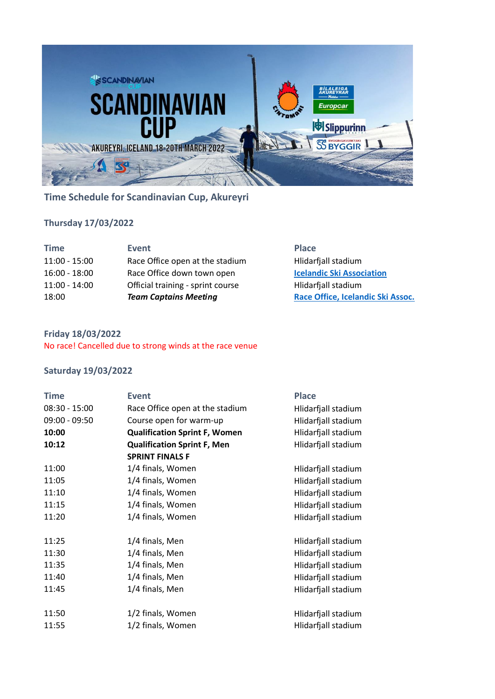

# **Time Schedule for Scandinavian Cup, Akureyri**

## **Thursday 17/03/2022**

| <b>Time</b>     | Event                             | <b>Place</b>                      |
|-----------------|-----------------------------------|-----------------------------------|
| $11:00 - 15:00$ | Race Office open at the stadium   | Hlidarfjall stadium               |
| $16:00 - 18:00$ | Race Office down town open        | <b>Icelandic Ski Association</b>  |
| $11:00 - 14:00$ | Official training - sprint course | Hlidarfiall stadium               |
| 18:00           | <b>Team Captains Meeting</b>      | Race Office, Icelandic Ski Assoc. |

#### **Friday 18/03/2022**

No race! Cancelled due to strong winds at the race venue

## **Saturday 19/03/2022**

| <b>Time</b>     | <b>Event</b>                         | <b>Place</b>        |
|-----------------|--------------------------------------|---------------------|
| $08:30 - 15:00$ | Race Office open at the stadium      | Hlidarfjall stadium |
| $09:00 - 09:50$ | Course open for warm-up              | Hlidarfjall stadium |
| 10:00           | <b>Qualification Sprint F, Women</b> | Hlidarfjall stadium |
| 10:12           | <b>Qualification Sprint F, Men</b>   | Hlidarfjall stadium |
|                 | <b>SPRINT FINALS F</b>               |                     |
| 11:00           | 1/4 finals, Women                    | Hlidarfjall stadium |
| 11:05           | 1/4 finals, Women                    | Hlidarfjall stadium |
| 11:10           | 1/4 finals, Women                    | Hlidarfjall stadium |
| 11:15           | 1/4 finals, Women                    | Hlidarfjall stadium |
| 11:20           | 1/4 finals, Women                    | Hlidarfjall stadium |
|                 |                                      |                     |
| 11:25           | 1/4 finals, Men                      | Hlidarfjall stadium |
| 11:30           | 1/4 finals, Men                      | Hlidarfjall stadium |
| 11:35           | 1/4 finals, Men                      | Hlidarfjall stadium |
| 11:40           | 1/4 finals, Men                      | Hlidarfjall stadium |
| 11:45           | 1/4 finals, Men                      | Hlidarfjall stadium |
|                 |                                      |                     |
| 11:50           | 1/2 finals, Women                    | Hlidarfjall stadium |
| 11:55           | 1/2 finals, Women                    | Hlidarfjall stadium |
|                 |                                      |                     |